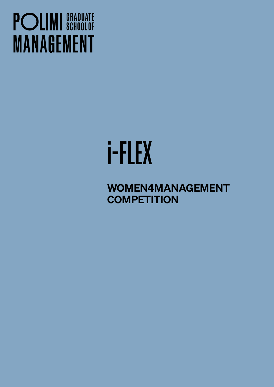## **POLIMI** SCHOOLOF **MANAGEMENT**

# i-FLEX

WOMEN4MANAGEMENT **COMPETITION**